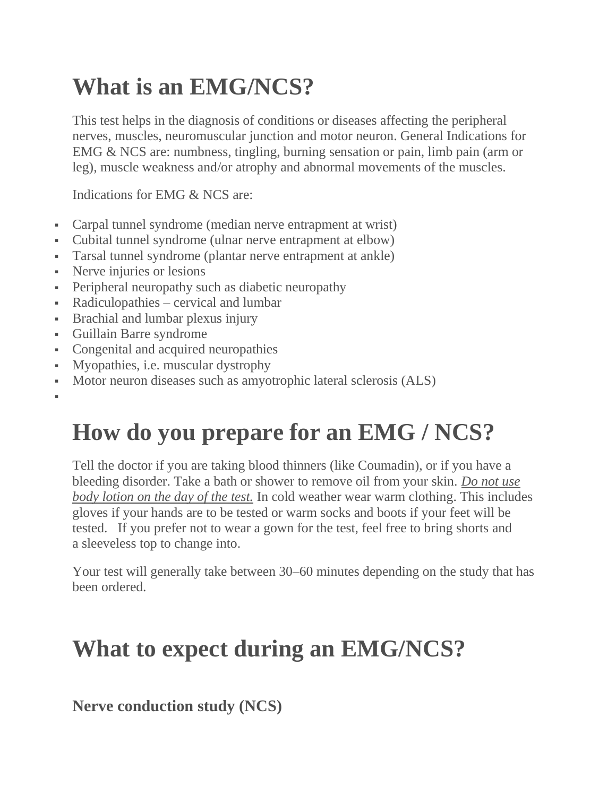## **What is an EMG/NCS?**

This test helps in the diagnosis of conditions or diseases affecting the peripheral nerves, muscles, neuromuscular junction and motor neuron. General Indications for EMG & NCS are: numbness, tingling, burning sensation or pain, limb pain (arm or leg), muscle weakness and/or atrophy and abnormal movements of the muscles.

Indications for EMG & NCS are:

- Carpal tunnel syndrome (median nerve entrapment at wrist)
- Cubital tunnel syndrome (ulnar nerve entrapment at elbow)
- Tarsal tunnel syndrome (plantar nerve entrapment at ankle)
- Nerve injuries or lesions
- Peripheral neuropathy such as diabetic neuropathy
- Radiculopathies cervical and lumbar
- **•** Brachial and lumbar plexus injury
- Guillain Barre syndrome

▪

- Congenital and acquired neuropathies
- Myopathies, i.e. muscular dystrophy
- Motor neuron diseases such as amyotrophic lateral sclerosis (ALS)

## **How do you prepare for an EMG / NCS?**

Tell the doctor if you are taking blood thinners (like Coumadin), or if you have a bleeding disorder. Take a bath or shower to remove oil from your skin. *Do not use body lotion on the day of the test.* In cold weather wear warm clothing. This includes gloves if your hands are to be tested or warm socks and boots if your feet will be tested. If you prefer not to wear a gown for the test, feel free to bring shorts and a sleeveless top to change into.

Your test will generally take between 30–60 minutes depending on the study that has been ordered.

## **What to expect during an EMG/NCS?**

**Nerve conduction study (NCS)**